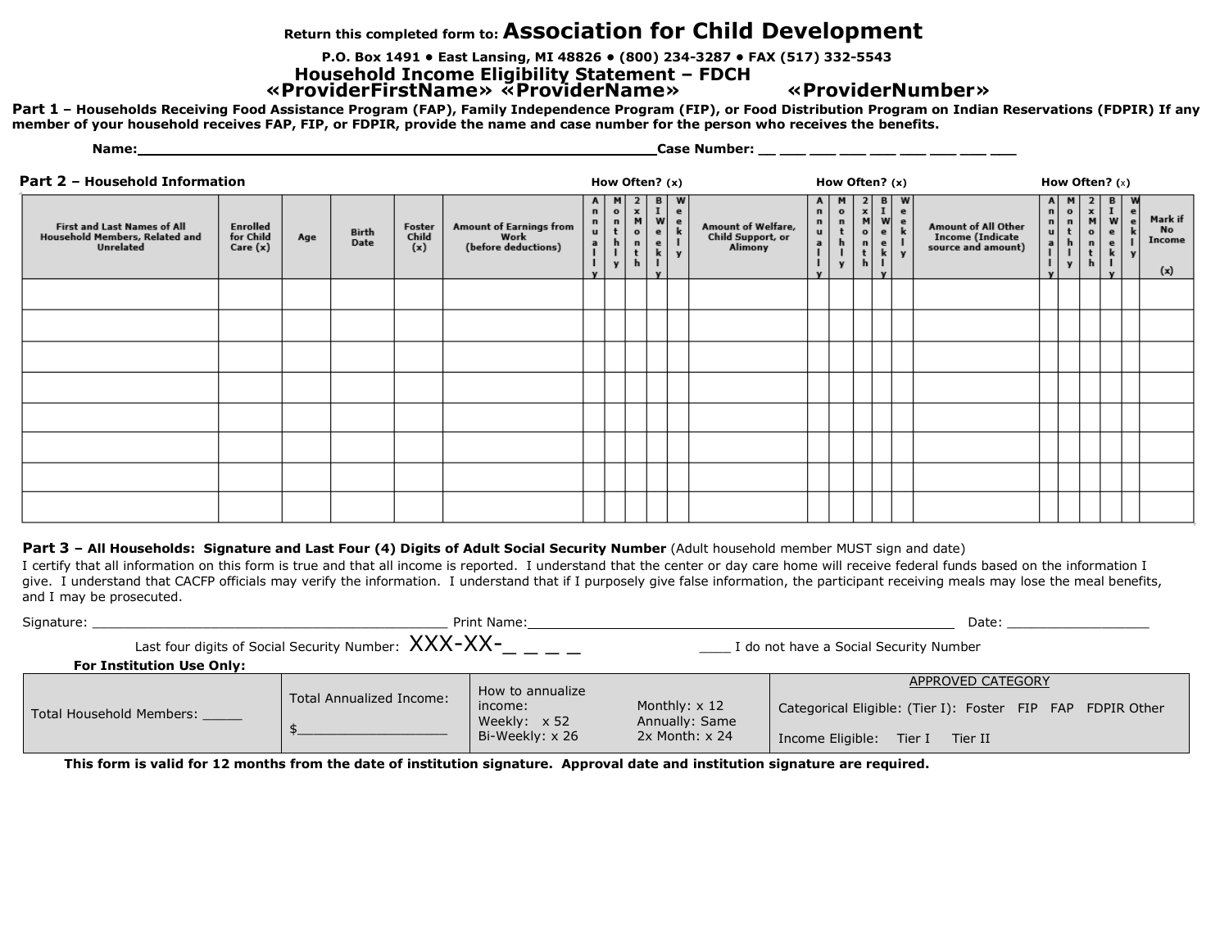## **Return this completed form to: Association for Child Development**

**P.O. Box 1491 • East Lansing, MI 48826 • (800) 234-3287 • FAX (517) 332-5543**

**Household Income Eligibility Statement – FDCH «ProviderFirstName» «ProviderName» «ProviderNumber»**

Part 1 - Households Receiving Food Assistance Program (FAP), Family Independence Program (FIP), or Food Distribution Program on Indian Reservations (FDPIR) If any member of your household receives FAP, FIP, or FDPIR, provide the name and case number for the person who receives the benefits.

| Part 2 - Household Information                                             |                                   |     |               |                        |                                                        |                                                                   | How Often? $(x)$                         |                                                                     |                                                                                |                                                         |                                                    | How Often? (x)                                    |                                                                              |                                                                              |                                                               |                                                                       |                                                               | How Often? $(x)$ |                                                             |                                                                              |                                                                                                       |   |                                |
|----------------------------------------------------------------------------|-----------------------------------|-----|---------------|------------------------|--------------------------------------------------------|-------------------------------------------------------------------|------------------------------------------|---------------------------------------------------------------------|--------------------------------------------------------------------------------|---------------------------------------------------------|----------------------------------------------------|---------------------------------------------------|------------------------------------------------------------------------------|------------------------------------------------------------------------------|---------------------------------------------------------------|-----------------------------------------------------------------------|---------------------------------------------------------------|------------------|-------------------------------------------------------------|------------------------------------------------------------------------------|-------------------------------------------------------------------------------------------------------|---|--------------------------------|
| First and Last Names of All<br>Household Members, Related and<br>Unrelated | Enrolled<br>for Child<br>Care (x) | Age | Birth<br>Date | Foster<br>Child<br>(x) | Amount of Earnings from<br>Work<br>(before deductions) | A<br>$\mathbf n$<br>$\mathbf n$<br>$\mathbf{u}$<br>$\overline{a}$ | Mont<br>$\mathbf h$<br>$\mathbf{I}$<br>y | $\frac{2}{M}$<br>$\mathbf{o}$<br>$\blacksquare$<br>$\mathbf t$<br>h | $\begin{bmatrix} B \\ I \\ W \end{bmatrix}$<br>$\epsilon$<br>$\mathbf{e}$<br>k | $\frac{W}{e}$<br>$\mathbf{e}$<br>k<br>$\mathbf{I}$<br>y | Amount of Welfare,<br>Child Support, or<br>Alimony | $\mathbf n$<br>$\mathbf n$<br>u<br>$\overline{a}$ | M<br>$\mathbf{o}$<br>$\overset{\mathsf{n}}{\mathsf{t}}$<br>$\mathbf{h}$<br>y | $\frac{2}{M}$<br>$\mathbf{o}$<br>$\mathbf n$<br>$\mathbf{t}$<br>$\mathbf{h}$ | $\begin{array}{c}\nB \\ I \\ e\n\end{array}$<br>$\frac{e}{k}$ | W<br>$\epsilon$<br>$\overset{\mathbf{e}}{\mathbf{k}}$<br>$\mathbf{v}$ | Amount of All Other<br>Income (Indicate<br>source and amount) |                  | $\circ$<br>$\mathbf n$<br>t<br>$\mathbf{h}$<br>$\mathbf{v}$ | $\frac{2}{M}$<br>$\mathbf{o}$<br>$\mathbf{n}$<br>$\mathbf t$<br>$\mathbf{h}$ | $\begin{array}{c} \mathbf{B} \\ \mathbf{I} \\ \mathbf{e} \end{array}$<br>$\mathbf{e}$<br>$\mathbf{k}$ | e | Mark if<br>No<br>Income<br>(x) |
|                                                                            |                                   |     |               |                        |                                                        |                                                                   |                                          |                                                                     |                                                                                |                                                         |                                                    |                                                   |                                                                              |                                                                              |                                                               |                                                                       |                                                               |                  |                                                             |                                                                              |                                                                                                       |   |                                |
|                                                                            |                                   |     |               |                        |                                                        |                                                                   |                                          |                                                                     |                                                                                |                                                         |                                                    |                                                   |                                                                              |                                                                              |                                                               |                                                                       |                                                               |                  |                                                             |                                                                              |                                                                                                       |   |                                |
|                                                                            |                                   |     |               |                        |                                                        |                                                                   |                                          |                                                                     |                                                                                |                                                         |                                                    |                                                   |                                                                              |                                                                              |                                                               |                                                                       |                                                               |                  |                                                             |                                                                              |                                                                                                       |   |                                |
|                                                                            |                                   |     |               |                        |                                                        |                                                                   |                                          |                                                                     |                                                                                |                                                         |                                                    |                                                   |                                                                              |                                                                              |                                                               |                                                                       |                                                               |                  |                                                             |                                                                              |                                                                                                       |   |                                |
|                                                                            |                                   |     |               |                        |                                                        |                                                                   |                                          |                                                                     |                                                                                |                                                         |                                                    |                                                   |                                                                              |                                                                              |                                                               |                                                                       |                                                               |                  |                                                             |                                                                              |                                                                                                       |   |                                |
|                                                                            |                                   |     |               |                        |                                                        |                                                                   |                                          |                                                                     |                                                                                |                                                         |                                                    |                                                   |                                                                              |                                                                              |                                                               |                                                                       |                                                               |                  |                                                             |                                                                              |                                                                                                       |   |                                |
|                                                                            |                                   |     |               |                        |                                                        |                                                                   |                                          |                                                                     |                                                                                |                                                         |                                                    |                                                   |                                                                              |                                                                              |                                                               |                                                                       |                                                               |                  |                                                             |                                                                              |                                                                                                       |   |                                |
|                                                                            |                                   |     |               |                        |                                                        |                                                                   |                                          |                                                                     |                                                                                |                                                         |                                                    |                                                   |                                                                              |                                                                              |                                                               |                                                                       |                                                               |                  |                                                             |                                                                              |                                                                                                       |   |                                |

## Part 3 - All Households: Signature and Last Four (4) Digits of Adult Social Security Number (Adult household member MUST sign and date)

**Name: Case Number: Case Number: Case Number: Case Number: Case Number: Case Number: Case Number: Case Number: Case Number: Case Number: Case Number: Case Number: Case Number: Case Number: C** 

I certify that all information on this form is true and that all income is reported. I understand that the center or day care home will receive federal funds based on the information I give. I understand that CACFP officials may verify the information. I understand that if I purposely give false information, the participant receiving meals may lose the meal benefits, and I may be prosecuted.

| Signature:               |                                  |                                                            | Print Name:                                                           | Date:                                                   |                                                                                                                    |  |  |  |  |  |  |
|--------------------------|----------------------------------|------------------------------------------------------------|-----------------------------------------------------------------------|---------------------------------------------------------|--------------------------------------------------------------------------------------------------------------------|--|--|--|--|--|--|
|                          |                                  | Last four digits of Social Security Number: $XXX$ - $XX$ - |                                                                       | I do not have a Social Security Number                  |                                                                                                                    |  |  |  |  |  |  |
|                          | <b>For Institution Use Only:</b> |                                                            |                                                                       |                                                         |                                                                                                                    |  |  |  |  |  |  |
| Total Household Members: |                                  | <b>Total Annualized Income:</b>                            | How to annualize<br>income:<br>Weekly: $\times$ 52<br>Bi-Weekly: x 26 | Monthly: $x$ 12<br>Annually: Same<br>$2x$ Month: $x$ 24 | APPROVED CATEGORY<br>Categorical Eligible: (Tier I): Foster FIP FAP FDPIR Other<br>Income Eligible: Tier I Tier II |  |  |  |  |  |  |

This form is valid for 12 months from the date of institution signature. Approval date and institution signature are required.